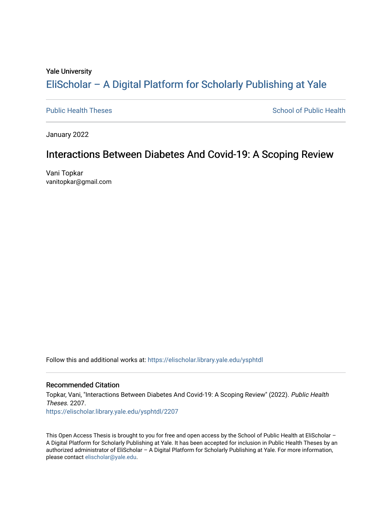#### Yale University

# [EliScholar – A Digital Platform for Scholarly Publishing at Yale](https://elischolar.library.yale.edu/)

[Public Health Theses](https://elischolar.library.yale.edu/ysphtdl) **School of Public Health** Public Health

January 2022

# Interactions Between Diabetes And Covid-19: A Scoping Review

Vani Topkar vanitopkar@gmail.com

Follow this and additional works at: [https://elischolar.library.yale.edu/ysphtdl](https://elischolar.library.yale.edu/ysphtdl?utm_source=elischolar.library.yale.edu%2Fysphtdl%2F2207&utm_medium=PDF&utm_campaign=PDFCoverPages) 

## Recommended Citation

Topkar, Vani, "Interactions Between Diabetes And Covid-19: A Scoping Review" (2022). Public Health Theses. 2207. [https://elischolar.library.yale.edu/ysphtdl/2207](https://elischolar.library.yale.edu/ysphtdl/2207?utm_source=elischolar.library.yale.edu%2Fysphtdl%2F2207&utm_medium=PDF&utm_campaign=PDFCoverPages) 

This Open Access Thesis is brought to you for free and open access by the School of Public Health at EliScholar – A Digital Platform for Scholarly Publishing at Yale. It has been accepted for inclusion in Public Health Theses by an authorized administrator of EliScholar – A Digital Platform for Scholarly Publishing at Yale. For more information, please contact [elischolar@yale.edu](mailto:elischolar@yale.edu).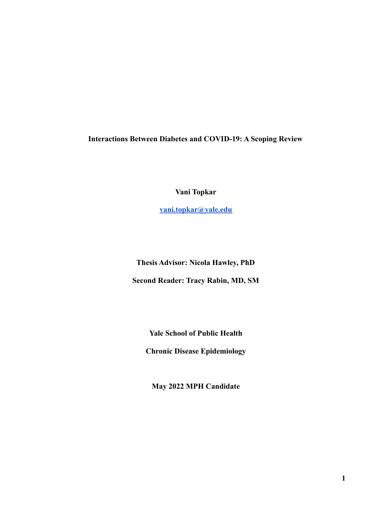**Interactions Between Diabetes and COVID-19: A Scoping Review**

**Vani Topkar**

**[vani.topkar@yale.edu](mailto:vani.topkar@yale.edu)**

**Thesis Advisor: Nicola Hawley, PhD Second Reader: Tracy Rabin, MD, SM**

**Yale School of Public Health**

**Chronic Disease Epidemiology**

**May 2022 MPH Candidate**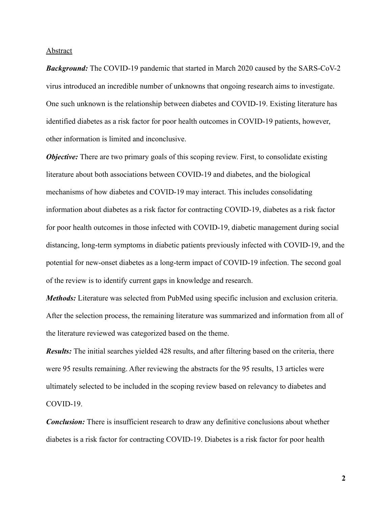#### Abstract

*Background:* The COVID-19 pandemic that started in March 2020 caused by the SARS-CoV-2 virus introduced an incredible number of unknowns that ongoing research aims to investigate. One such unknown is the relationship between diabetes and COVID-19. Existing literature has identified diabetes as a risk factor for poor health outcomes in COVID-19 patients, however, other information is limited and inconclusive.

*Objective:* There are two primary goals of this scoping review. First, to consolidate existing literature about both associations between COVID-19 and diabetes, and the biological mechanisms of how diabetes and COVID-19 may interact. This includes consolidating information about diabetes as a risk factor for contracting COVID-19, diabetes as a risk factor for poor health outcomes in those infected with COVID-19, diabetic management during social distancing, long-term symptoms in diabetic patients previously infected with COVID-19, and the potential for new-onset diabetes as a long-term impact of COVID-19 infection. The second goal of the review is to identify current gaps in knowledge and research.

*Methods:* Literature was selected from PubMed using specific inclusion and exclusion criteria. After the selection process, the remaining literature was summarized and information from all of the literature reviewed was categorized based on the theme.

*Results:* The initial searches yielded 428 results, and after filtering based on the criteria, there were 95 results remaining. After reviewing the abstracts for the 95 results, 13 articles were ultimately selected to be included in the scoping review based on relevancy to diabetes and COVID-19.

*Conclusion:* There is insufficient research to draw any definitive conclusions about whether diabetes is a risk factor for contracting COVID-19. Diabetes is a risk factor for poor health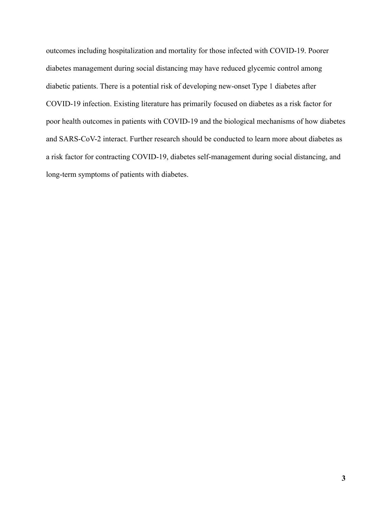outcomes including hospitalization and mortality for those infected with COVID-19. Poorer diabetes management during social distancing may have reduced glycemic control among diabetic patients. There is a potential risk of developing new-onset Type 1 diabetes after COVID-19 infection. Existing literature has primarily focused on diabetes as a risk factor for poor health outcomes in patients with COVID-19 and the biological mechanisms of how diabetes and SARS-CoV-2 interact. Further research should be conducted to learn more about diabetes as a risk factor for contracting COVID-19, diabetes self-management during social distancing, and long-term symptoms of patients with diabetes.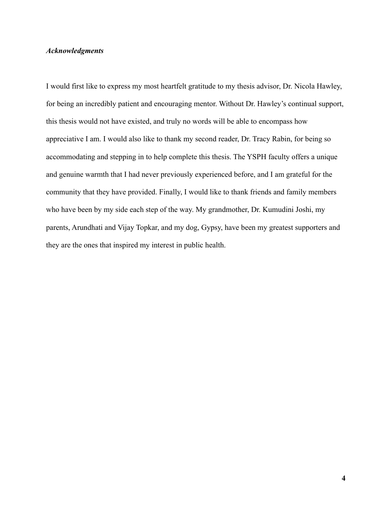## *Acknowledgments*

I would first like to express my most heartfelt gratitude to my thesis advisor, Dr. Nicola Hawley, for being an incredibly patient and encouraging mentor. Without Dr. Hawley's continual support, this thesis would not have existed, and truly no words will be able to encompass how appreciative I am. I would also like to thank my second reader, Dr. Tracy Rabin, for being so accommodating and stepping in to help complete this thesis. The YSPH faculty offers a unique and genuine warmth that I had never previously experienced before, and I am grateful for the community that they have provided. Finally, I would like to thank friends and family members who have been by my side each step of the way. My grandmother, Dr. Kumudini Joshi, my parents, Arundhati and Vijay Topkar, and my dog, Gypsy, have been my greatest supporters and they are the ones that inspired my interest in public health.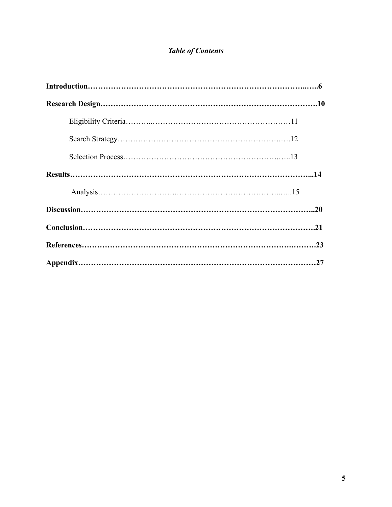# *Table of Contents*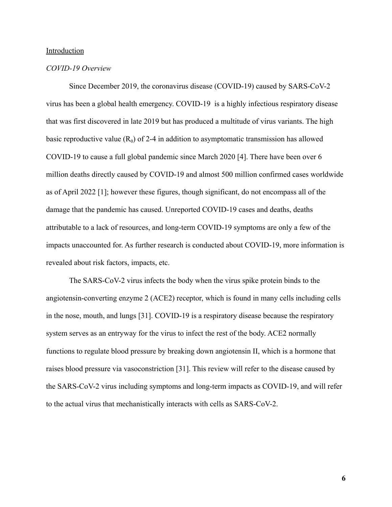#### Introduction

## *COVID-19 Overview*

Since December 2019, the coronavirus disease (COVID-19) caused by SARS-CoV-2 virus has been a global health emergency. COVID-19 is a highly infectious respiratory disease that was first discovered in late 2019 but has produced a multitude of virus variants. The high basic reproductive value  $(R_0)$  of 2-4 in addition to asymptomatic transmission has allowed COVID-19 to cause a full global pandemic since March 2020 [4]. There have been over 6 million deaths directly caused by COVID-19 and almost 500 million confirmed cases worldwide as of April 2022 [1]; however these figures, though significant, do not encompass all of the damage that the pandemic has caused. Unreported COVID-19 cases and deaths, deaths attributable to a lack of resources, and long-term COVID-19 symptoms are only a few of the impacts unaccounted for. As further research is conducted about COVID-19, more information is revealed about risk factors, impacts, etc.

The SARS-CoV-2 virus infects the body when the virus spike protein binds to the angiotensin-converting enzyme 2 (ACE2) receptor, which is found in many cells including cells in the nose, mouth, and lungs [31]. COVID-19 is a respiratory disease because the respiratory system serves as an entryway for the virus to infect the rest of the body. ACE2 normally functions to regulate blood pressure by breaking down angiotensin II, which is a hormone that raises blood pressure via vasoconstriction [31]. This review will refer to the disease caused by the SARS-CoV-2 virus including symptoms and long-term impacts as COVID-19, and will refer to the actual virus that mechanistically interacts with cells as SARS-CoV-2.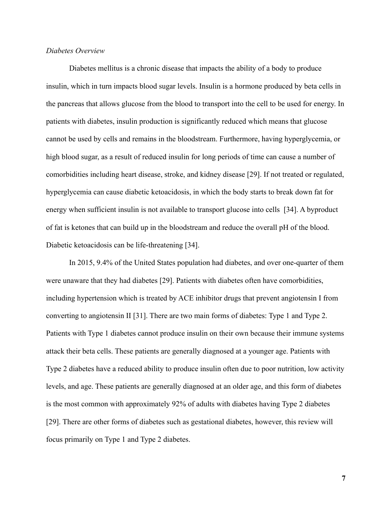# *Diabetes Overview*

Diabetes mellitus is a chronic disease that impacts the ability of a body to produce insulin, which in turn impacts blood sugar levels. Insulin is a hormone produced by beta cells in the pancreas that allows glucose from the blood to transport into the cell to be used for energy. In patients with diabetes, insulin production is significantly reduced which means that glucose cannot be used by cells and remains in the bloodstream. Furthermore, having hyperglycemia, or high blood sugar, as a result of reduced insulin for long periods of time can cause a number of comorbidities including heart disease, stroke, and kidney disease [29]. If not treated or regulated, hyperglycemia can cause diabetic ketoacidosis, in which the body starts to break down fat for energy when sufficient insulin is not available to transport glucose into cells [34]. A byproduct of fat is ketones that can build up in the bloodstream and reduce the overall pH of the blood. Diabetic ketoacidosis can be life-threatening [34].

In 2015, 9.4% of the United States population had diabetes, and over one-quarter of them were unaware that they had diabetes [29]. Patients with diabetes often have comorbidities, including hypertension which is treated by ACE inhibitor drugs that prevent angiotensin I from converting to angiotensin II [31]. There are two main forms of diabetes: Type 1 and Type 2. Patients with Type 1 diabetes cannot produce insulin on their own because their immune systems attack their beta cells. These patients are generally diagnosed at a younger age. Patients with Type 2 diabetes have a reduced ability to produce insulin often due to poor nutrition, low activity levels, and age. These patients are generally diagnosed at an older age, and this form of diabetes is the most common with approximately 92% of adults with diabetes having Type 2 diabetes [29]. There are other forms of diabetes such as gestational diabetes, however, this review will focus primarily on Type 1 and Type 2 diabetes.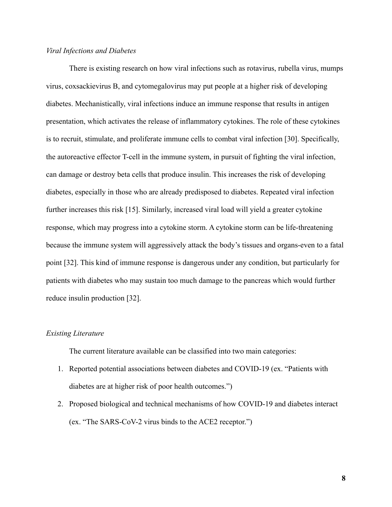# *Viral Infections and Diabetes*

There is existing research on how viral infections such as rotavirus, rubella virus, mumps virus, coxsackievirus B, and cytomegalovirus may put people at a higher risk of developing diabetes. Mechanistically, viral infections induce an immune response that results in antigen presentation, which activates the release of inflammatory cytokines. The role of these cytokines is to recruit, stimulate, and proliferate immune cells to combat viral infection [30]. Specifically, the autoreactive effector T-cell in the immune system, in pursuit of fighting the viral infection, can damage or destroy beta cells that produce insulin. This increases the risk of developing diabetes, especially in those who are already predisposed to diabetes. Repeated viral infection further increases this risk [15]. Similarly, increased viral load will yield a greater cytokine response, which may progress into a cytokine storm. A cytokine storm can be life-threatening because the immune system will aggressively attack the body's tissues and organs-even to a fatal point [32]. This kind of immune response is dangerous under any condition, but particularly for patients with diabetes who may sustain too much damage to the pancreas which would further reduce insulin production [32].

# *Existing Literature*

The current literature available can be classified into two main categories:

- 1. Reported potential associations between diabetes and COVID-19 (ex. "Patients with diabetes are at higher risk of poor health outcomes.")
- 2. Proposed biological and technical mechanisms of how COVID-19 and diabetes interact (ex. "The SARS-CoV-2 virus binds to the ACE2 receptor.")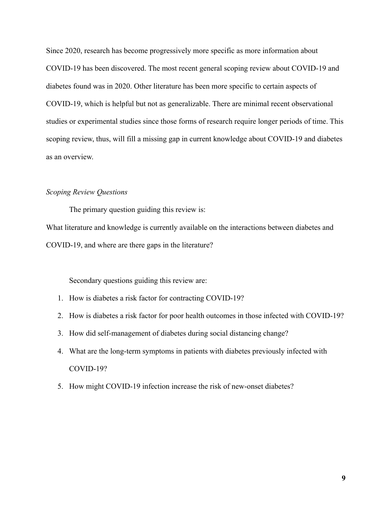Since 2020, research has become progressively more specific as more information about COVID-19 has been discovered. The most recent general scoping review about COVID-19 and diabetes found was in 2020. Other literature has been more specific to certain aspects of COVID-19, which is helpful but not as generalizable. There are minimal recent observational studies or experimental studies since those forms of research require longer periods of time. This scoping review, thus, will fill a missing gap in current knowledge about COVID-19 and diabetes as an overview.

## *Scoping Review Questions*

The primary question guiding this review is:

What literature and knowledge is currently available on the interactions between diabetes and COVID-19, and where are there gaps in the literature?

Secondary questions guiding this review are:

- 1. How is diabetes a risk factor for contracting COVID-19?
- 2. How is diabetes a risk factor for poor health outcomes in those infected with COVID-19?
- 3. How did self-management of diabetes during social distancing change?
- 4. What are the long-term symptoms in patients with diabetes previously infected with COVID-19?
- 5. How might COVID-19 infection increase the risk of new-onset diabetes?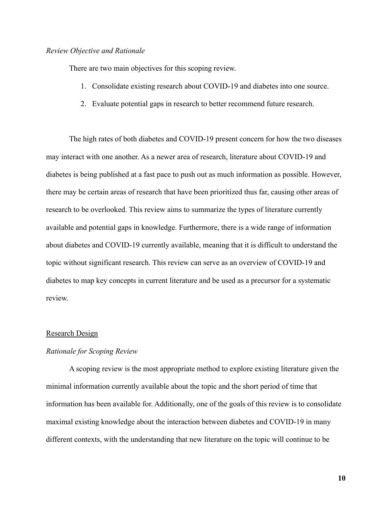#### *Review Objective and Rationale*

There are two main objectives for this scoping review.

- 1. Consolidate existing research about COVID-19 and diabetes into one source.
- 2. Evaluate potential gaps in research to better recommend future research.

The high rates of both diabetes and COVID-19 present concern for how the two diseases may interact with one another. As a newer area of research, literature about COVID-19 and diabetes is being published at a fast pace to push out as much information as possible. However, there may be certain areas of research that have been prioritized thus far, causing other areas of research to be overlooked. This review aims to summarize the types of literature currently available and potential gaps in knowledge. Furthermore, there is a wide range of information about diabetes and COVID-19 currently available, meaning that it is difficult to understand the topic without significant research. This review can serve as an overview of COVID-19 and diabetes to map key concepts in current literature and be used as a precursor for a systematic review.

#### Research Design

# *Rationale for Scoping Review*

A scoping review is the most appropriate method to explore existing literature given the minimal information currently available about the topic and the short period of time that information has been available for. Additionally, one of the goals of this review is to consolidate maximal existing knowledge about the interaction between diabetes and COVID-19 in many different contexts, with the understanding that new literature on the topic will continue to be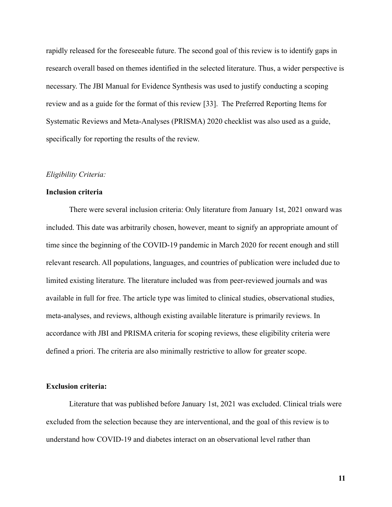rapidly released for the foreseeable future. The second goal of this review is to identify gaps in research overall based on themes identified in the selected literature. Thus, a wider perspective is necessary. The JBI Manual for Evidence Synthesis was used to justify conducting a scoping review and as a guide for the format of this review [33]. The Preferred Reporting Items for Systematic Reviews and Meta-Analyses (PRISMA) 2020 checklist was also used as a guide, specifically for reporting the results of the review.

## *Eligibility Criteria:*

#### **Inclusion criteria**

There were several inclusion criteria: Only literature from January 1st, 2021 onward was included. This date was arbitrarily chosen, however, meant to signify an appropriate amount of time since the beginning of the COVID-19 pandemic in March 2020 for recent enough and still relevant research. All populations, languages, and countries of publication were included due to limited existing literature. The literature included was from peer-reviewed journals and was available in full for free. The article type was limited to clinical studies, observational studies, meta-analyses, and reviews, although existing available literature is primarily reviews. In accordance with JBI and PRISMA criteria for scoping reviews, these eligibility criteria were defined a priori. The criteria are also minimally restrictive to allow for greater scope.

#### **Exclusion criteria:**

Literature that was published before January 1st, 2021 was excluded. Clinical trials were excluded from the selection because they are interventional, and the goal of this review is to understand how COVID-19 and diabetes interact on an observational level rather than

**11**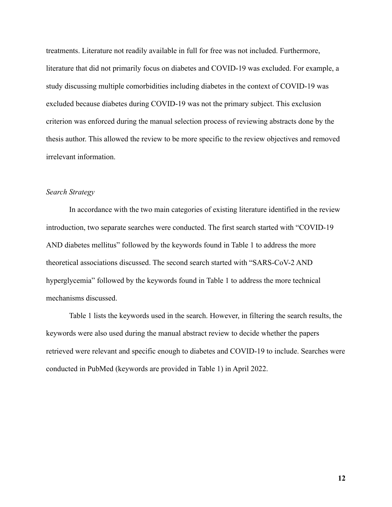treatments. Literature not readily available in full for free was not included. Furthermore, literature that did not primarily focus on diabetes and COVID-19 was excluded. For example, a study discussing multiple comorbidities including diabetes in the context of COVID-19 was excluded because diabetes during COVID-19 was not the primary subject. This exclusion criterion was enforced during the manual selection process of reviewing abstracts done by the thesis author. This allowed the review to be more specific to the review objectives and removed irrelevant information.

# *Search Strategy*

In accordance with the two main categories of existing literature identified in the review introduction, two separate searches were conducted. The first search started with "COVID-19 AND diabetes mellitus" followed by the keywords found in Table 1 to address the more theoretical associations discussed. The second search started with "SARS-CoV-2 AND hyperglycemia" followed by the keywords found in Table 1 to address the more technical mechanisms discussed.

Table 1 lists the keywords used in the search. However, in filtering the search results, the keywords were also used during the manual abstract review to decide whether the papers retrieved were relevant and specific enough to diabetes and COVID-19 to include. Searches were conducted in PubMed (keywords are provided in Table 1) in April 2022.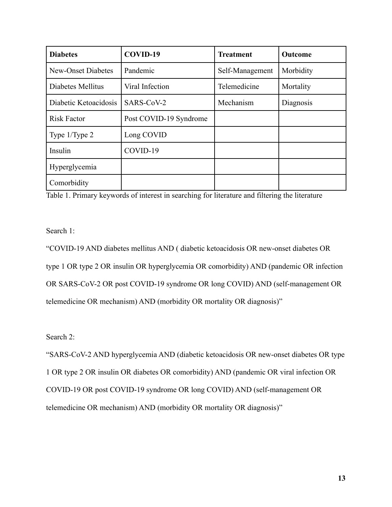| <b>Diabetes</b>           | COVID-19               | <b>Treatment</b> | Outcome   |
|---------------------------|------------------------|------------------|-----------|
| <b>New-Onset Diabetes</b> | Pandemic               | Self-Management  | Morbidity |
| Diabetes Mellitus         | Viral Infection        | Telemedicine     | Mortality |
| Diabetic Ketoacidosis     | SARS-CoV-2             | Mechanism        | Diagnosis |
| <b>Risk Factor</b>        | Post COVID-19 Syndrome |                  |           |
| Type $1/T$ ype $2$        | Long COVID             |                  |           |
| Insulin                   | COVID-19               |                  |           |
| Hyperglycemia             |                        |                  |           |
| Comorbidity               |                        |                  |           |

Table 1. Primary keywords of interest in searching for literature and filtering the literature

Search 1:

"COVID-19 AND diabetes mellitus AND ( diabetic ketoacidosis OR new-onset diabetes OR type 1 OR type 2 OR insulin OR hyperglycemia OR comorbidity) AND (pandemic OR infection OR SARS-CoV-2 OR post COVID-19 syndrome OR long COVID) AND (self-management OR telemedicine OR mechanism) AND (morbidity OR mortality OR diagnosis)"

Search 2:

"SARS-CoV-2 AND hyperglycemia AND (diabetic ketoacidosis OR new-onset diabetes OR type 1 OR type 2 OR insulin OR diabetes OR comorbidity) AND (pandemic OR viral infection OR COVID-19 OR post COVID-19 syndrome OR long COVID) AND (self-management OR telemedicine OR mechanism) AND (morbidity OR mortality OR diagnosis)"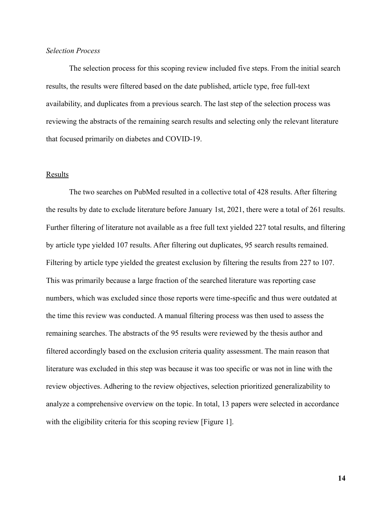# *Selection Process*

The selection process for this scoping review included five steps. From the initial search results, the results were filtered based on the date published, article type, free full-text availability, and duplicates from a previous search. The last step of the selection process was reviewing the abstracts of the remaining search results and selecting only the relevant literature that focused primarily on diabetes and COVID-19.

#### Results

The two searches on PubMed resulted in a collective total of 428 results. After filtering the results by date to exclude literature before January 1st, 2021, there were a total of 261 results. Further filtering of literature not available as a free full text yielded 227 total results, and filtering by article type yielded 107 results. After filtering out duplicates, 95 search results remained. Filtering by article type yielded the greatest exclusion by filtering the results from 227 to 107. This was primarily because a large fraction of the searched literature was reporting case numbers, which was excluded since those reports were time-specific and thus were outdated at the time this review was conducted. A manual filtering process was then used to assess the remaining searches. The abstracts of the 95 results were reviewed by the thesis author and filtered accordingly based on the exclusion criteria quality assessment. The main reason that literature was excluded in this step was because it was too specific or was not in line with the review objectives. Adhering to the review objectives, selection prioritized generalizability to analyze a comprehensive overview on the topic. In total, 13 papers were selected in accordance with the eligibility criteria for this scoping review [Figure 1].

**14**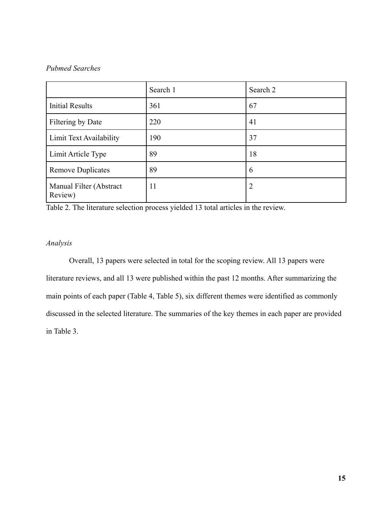# *Pubmed Searches*

|                                    | Search 1 | Search 2 |
|------------------------------------|----------|----------|
| <b>Initial Results</b>             | 361      | 67       |
| Filtering by Date                  | 220      | 41       |
| Limit Text Availability            | 190      | 37       |
| Limit Article Type                 | 89       | 18       |
| <b>Remove Duplicates</b>           | 89       | 6        |
| Manual Filter (Abstract<br>Review) | 11       | 2        |

Table 2. The literature selection process yielded 13 total articles in the review.

# *Analysis*

Overall, 13 papers were selected in total for the scoping review. All 13 papers were literature reviews, and all 13 were published within the past 12 months. After summarizing the main points of each paper (Table 4, Table 5), six different themes were identified as commonly discussed in the selected literature. The summaries of the key themes in each paper are provided in Table 3.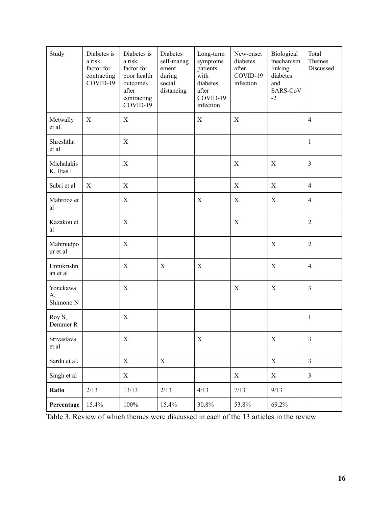| Study                       | Diabetes is<br>a risk<br>factor for<br>contracting<br>COVID-19 | Diabetes is<br>a risk<br>factor for<br>poor health<br>outcomes<br>after<br>contracting<br>COVID-19 | Diabetes<br>self-manag<br>ement<br>during<br>social<br>distancing | Long-term<br>symptoms<br>patients<br>with<br>diabetes<br>after<br>COVID-19<br>infection | New-onset<br>diabetes<br>after<br>COVID-19<br>infection | Biological<br>mechanism<br>linking<br>diabetes<br>and<br>SARS-CoV<br>$-2$ | Total<br>Themes<br>Discussed |
|-----------------------------|----------------------------------------------------------------|----------------------------------------------------------------------------------------------------|-------------------------------------------------------------------|-----------------------------------------------------------------------------------------|---------------------------------------------------------|---------------------------------------------------------------------------|------------------------------|
| Metwally<br>et al.          | $\mathbf X$                                                    | X                                                                                                  |                                                                   | $\mathbf X$                                                                             | $\mathbf X$                                             |                                                                           | $\overline{4}$               |
| Shreshtha<br>et al          |                                                                | $\mathbf X$                                                                                        |                                                                   |                                                                                         |                                                         |                                                                           | $\mathbf{1}$                 |
| Michalakis<br>K, Ilias I    |                                                                | $\mathbf X$                                                                                        |                                                                   |                                                                                         | X                                                       | $\mathbf X$                                                               | $\mathfrak{Z}$               |
| Sabri et al                 | X                                                              | $\mathbf X$                                                                                        |                                                                   |                                                                                         | $\mathbf X$                                             | $\mathbf X$                                                               | $\overline{4}$               |
| Mahrooz et<br>al            |                                                                | X                                                                                                  |                                                                   | X                                                                                       | $\mathbf X$                                             | $\mathbf X$                                                               | $\overline{4}$               |
| Kazakou et<br>al            |                                                                | $\mathbf X$                                                                                        |                                                                   |                                                                                         | $\mathbf X$                                             |                                                                           | $\overline{2}$               |
| Mahmudpo<br>ur et al        |                                                                | $\mathbf X$                                                                                        |                                                                   |                                                                                         |                                                         | $\mathbf X$                                                               | $\overline{2}$               |
| Unnikrishn<br>an et al      |                                                                | $\mathbf X$                                                                                        | $\mathbf X$                                                       | $\mathbf X$                                                                             |                                                         | $\mathbf X$                                                               | $\overline{4}$               |
| Yonekawa<br>A,<br>Shimono N |                                                                | $\mathbf X$                                                                                        |                                                                   |                                                                                         | X                                                       | $\mathbf X$                                                               | $\mathfrak{Z}$               |
| Roy S,<br>Demmer R          |                                                                | $\mathbf X$                                                                                        |                                                                   |                                                                                         |                                                         |                                                                           | $\mathbf{1}$                 |
| Srivastava<br>et al         |                                                                | $\mathbf X$                                                                                        |                                                                   | $\mathbf X$                                                                             |                                                         | $\boldsymbol{\mathrm{X}}$                                                 | $\mathfrak{Z}$               |
| Sardu et al.                |                                                                | $\boldsymbol{\mathrm{X}}$                                                                          | X                                                                 |                                                                                         |                                                         | $\mathbf X$                                                               | $\overline{3}$               |
| Singh et al                 |                                                                | $\boldsymbol{\mathrm{X}}$                                                                          |                                                                   |                                                                                         | $\boldsymbol{\mathrm{X}}$                               | $\mathbf X$                                                               | $\overline{3}$               |
| Ratio                       | 2/13                                                           | 13/13                                                                                              | 2/13                                                              | 4/13                                                                                    | 7/13                                                    | 9/13                                                                      |                              |
| Percentage                  | 15.4%                                                          | 100%                                                                                               | 15.4%                                                             | 30.8%                                                                                   | 53.8%                                                   | 69.2%                                                                     |                              |

Table 3. Review of which themes were discussed in each of the 13 articles in the review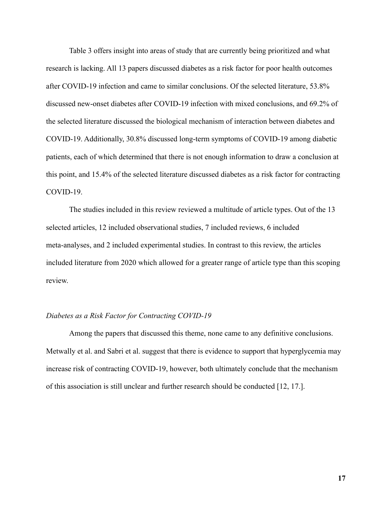Table 3 offers insight into areas of study that are currently being prioritized and what research is lacking. All 13 papers discussed diabetes as a risk factor for poor health outcomes after COVID-19 infection and came to similar conclusions. Of the selected literature, 53.8% discussed new-onset diabetes after COVID-19 infection with mixed conclusions, and 69.2% of the selected literature discussed the biological mechanism of interaction between diabetes and COVID-19. Additionally, 30.8% discussed long-term symptoms of COVID-19 among diabetic patients, each of which determined that there is not enough information to draw a conclusion at this point, and 15.4% of the selected literature discussed diabetes as a risk factor for contracting COVID-19.

The studies included in this review reviewed a multitude of article types. Out of the 13 selected articles, 12 included observational studies, 7 included reviews, 6 included meta-analyses, and 2 included experimental studies. In contrast to this review, the articles included literature from 2020 which allowed for a greater range of article type than this scoping review.

#### *Diabetes as a Risk Factor for Contracting COVID-19*

Among the papers that discussed this theme, none came to any definitive conclusions. Metwally et al. and Sabri et al. suggest that there is evidence to support that hyperglycemia may increase risk of contracting COVID-19, however, both ultimately conclude that the mechanism of this association is still unclear and further research should be conducted [12, 17.].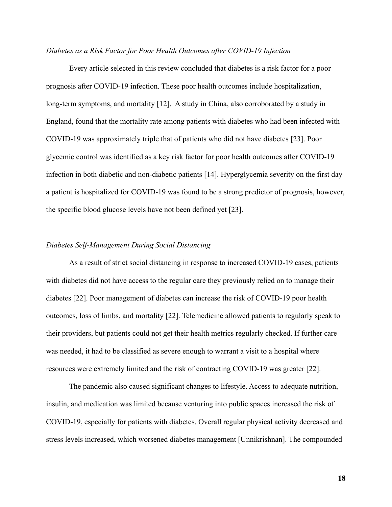#### *Diabetes as a Risk Factor for Poor Health Outcomes after COVID-19 Infection*

Every article selected in this review concluded that diabetes is a risk factor for a poor prognosis after COVID-19 infection. These poor health outcomes include hospitalization, long-term symptoms, and mortality [12]. A study in China, also corroborated by a study in England, found that the mortality rate among patients with diabetes who had been infected with COVID-19 was approximately triple that of patients who did not have diabetes [23]. Poor glycemic control was identified as a key risk factor for poor health outcomes after COVID-19 infection in both diabetic and non-diabetic patients [14]. Hyperglycemia severity on the first day a patient is hospitalized for COVID-19 was found to be a strong predictor of prognosis, however, the specific blood glucose levels have not been defined yet [23].

#### *Diabetes Self-Management During Social Distancing*

As a result of strict social distancing in response to increased COVID-19 cases, patients with diabetes did not have access to the regular care they previously relied on to manage their diabetes [22]. Poor management of diabetes can increase the risk of COVID-19 poor health outcomes, loss of limbs, and mortality [22]. Telemedicine allowed patients to regularly speak to their providers, but patients could not get their health metrics regularly checked. If further care was needed, it had to be classified as severe enough to warrant a visit to a hospital where resources were extremely limited and the risk of contracting COVID-19 was greater [22].

The pandemic also caused significant changes to lifestyle. Access to adequate nutrition, insulin, and medication was limited because venturing into public spaces increased the risk of COVID-19, especially for patients with diabetes. Overall regular physical activity decreased and stress levels increased, which worsened diabetes management [Unnikrishnan]. The compounded

**18**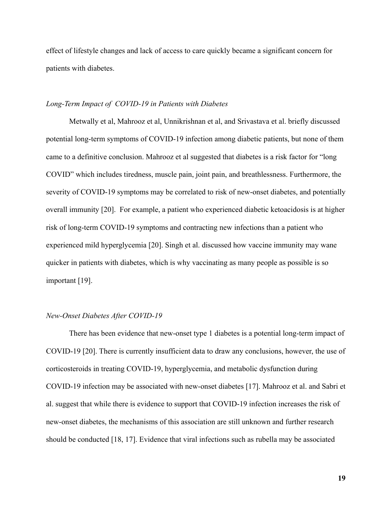effect of lifestyle changes and lack of access to care quickly became a significant concern for patients with diabetes.

#### *Long-Term Impact of COVID-19 in Patients with Diabetes*

Metwally et al, Mahrooz et al, Unnikrishnan et al, and Srivastava et al. briefly discussed potential long-term symptoms of COVID-19 infection among diabetic patients, but none of them came to a definitive conclusion. Mahrooz et al suggested that diabetes is a risk factor for "long COVID" which includes tiredness, muscle pain, joint pain, and breathlessness. Furthermore, the severity of COVID-19 symptoms may be correlated to risk of new-onset diabetes, and potentially overall immunity [20]. For example, a patient who experienced diabetic ketoacidosis is at higher risk of long-term COVID-19 symptoms and contracting new infections than a patient who experienced mild hyperglycemia [20]. Singh et al. discussed how vaccine immunity may wane quicker in patients with diabetes, which is why vaccinating as many people as possible is so important [19].

#### *New-Onset Diabetes After COVID-19*

There has been evidence that new-onset type 1 diabetes is a potential long-term impact of COVID-19 [20]. There is currently insufficient data to draw any conclusions, however, the use of corticosteroids in treating COVID-19, hyperglycemia, and metabolic dysfunction during COVID-19 infection may be associated with new-onset diabetes [17]. Mahrooz et al. and Sabri et al. suggest that while there is evidence to support that COVID-19 infection increases the risk of new-onset diabetes, the mechanisms of this association are still unknown and further research should be conducted [18, 17]. Evidence that viral infections such as rubella may be associated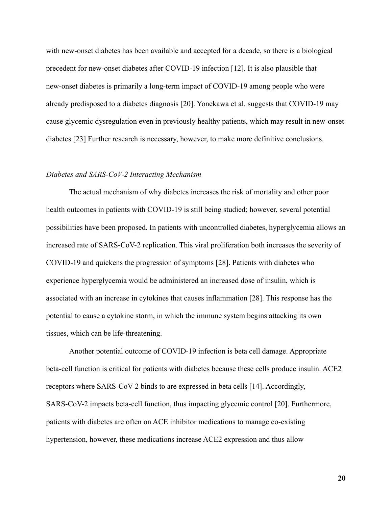with new-onset diabetes has been available and accepted for a decade, so there is a biological precedent for new-onset diabetes after COVID-19 infection [12]. It is also plausible that new-onset diabetes is primarily a long-term impact of COVID-19 among people who were already predisposed to a diabetes diagnosis [20]. Yonekawa et al. suggests that COVID-19 may cause glycemic dysregulation even in previously healthy patients, which may result in new-onset diabetes [23] Further research is necessary, however, to make more definitive conclusions.

#### *Diabetes and SARS-CoV-2 Interacting Mechanism*

The actual mechanism of why diabetes increases the risk of mortality and other poor health outcomes in patients with COVID-19 is still being studied; however, several potential possibilities have been proposed. In patients with uncontrolled diabetes, hyperglycemia allows an increased rate of SARS-CoV-2 replication. This viral proliferation both increases the severity of COVID-19 and quickens the progression of symptoms [28]. Patients with diabetes who experience hyperglycemia would be administered an increased dose of insulin, which is associated with an increase in cytokines that causes inflammation [28]. This response has the potential to cause a cytokine storm, in which the immune system begins attacking its own tissues, which can be life-threatening.

Another potential outcome of COVID-19 infection is beta cell damage. Appropriate beta-cell function is critical for patients with diabetes because these cells produce insulin. ACE2 receptors where SARS-CoV-2 binds to are expressed in beta cells [14]. Accordingly, SARS-CoV-2 impacts beta-cell function, thus impacting glycemic control [20]. Furthermore, patients with diabetes are often on ACE inhibitor medications to manage co-existing hypertension, however, these medications increase ACE2 expression and thus allow

**20**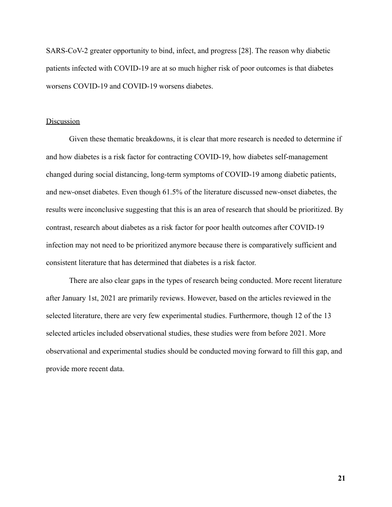SARS-CoV-2 greater opportunity to bind, infect, and progress [28]. The reason why diabetic patients infected with COVID-19 are at so much higher risk of poor outcomes is that diabetes worsens COVID-19 and COVID-19 worsens diabetes.

#### **Discussion**

Given these thematic breakdowns, it is clear that more research is needed to determine if and how diabetes is a risk factor for contracting COVID-19, how diabetes self-management changed during social distancing, long-term symptoms of COVID-19 among diabetic patients, and new-onset diabetes. Even though 61.5% of the literature discussed new-onset diabetes, the results were inconclusive suggesting that this is an area of research that should be prioritized. By contrast, research about diabetes as a risk factor for poor health outcomes after COVID-19 infection may not need to be prioritized anymore because there is comparatively sufficient and consistent literature that has determined that diabetes is a risk factor.

There are also clear gaps in the types of research being conducted. More recent literature after January 1st, 2021 are primarily reviews. However, based on the articles reviewed in the selected literature, there are very few experimental studies. Furthermore, though 12 of the 13 selected articles included observational studies, these studies were from before 2021. More observational and experimental studies should be conducted moving forward to fill this gap, and provide more recent data.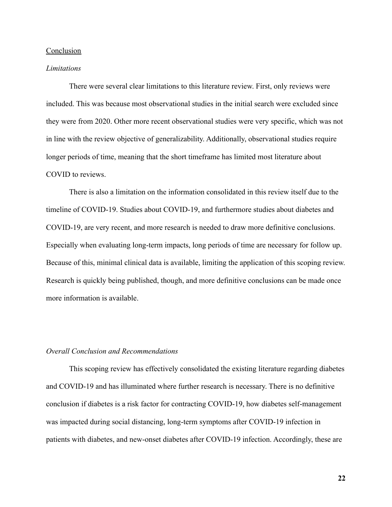## Conclusion

#### *Limitations*

There were several clear limitations to this literature review. First, only reviews were included. This was because most observational studies in the initial search were excluded since they were from 2020. Other more recent observational studies were very specific, which was not in line with the review objective of generalizability. Additionally, observational studies require longer periods of time, meaning that the short timeframe has limited most literature about COVID to reviews.

There is also a limitation on the information consolidated in this review itself due to the timeline of COVID-19. Studies about COVID-19, and furthermore studies about diabetes and COVID-19, are very recent, and more research is needed to draw more definitive conclusions. Especially when evaluating long-term impacts, long periods of time are necessary for follow up. Because of this, minimal clinical data is available, limiting the application of this scoping review. Research is quickly being published, though, and more definitive conclusions can be made once more information is available.

#### *Overall Conclusion and Recommendations*

This scoping review has effectively consolidated the existing literature regarding diabetes and COVID-19 and has illuminated where further research is necessary. There is no definitive conclusion if diabetes is a risk factor for contracting COVID-19, how diabetes self-management was impacted during social distancing, long-term symptoms after COVID-19 infection in patients with diabetes, and new-onset diabetes after COVID-19 infection. Accordingly, these are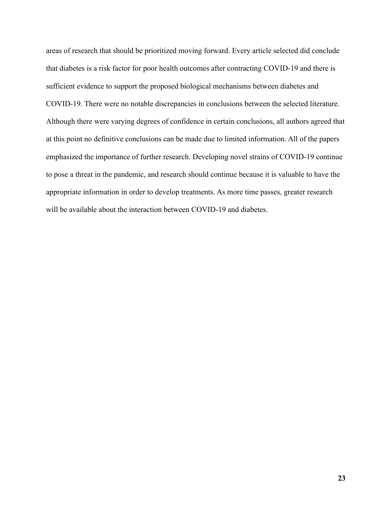areas of research that should be prioritized moving forward. Every article selected did conclude that diabetes is a risk factor for poor health outcomes after contracting COVID-19 and there is sufficient evidence to support the proposed biological mechanisms between diabetes and COVID-19. There were no notable discrepancies in conclusions between the selected literature. Although there were varying degrees of confidence in certain conclusions, all authors agreed that at this point no definitive conclusions can be made due to limited information. All of the papers emphasized the importance of further research. Developing novel strains of COVID-19 continue to pose a threat in the pandemic, and research should continue because it is valuable to have the appropriate information in order to develop treatments. As more time passes, greater research will be available about the interaction between COVID-19 and diabetes.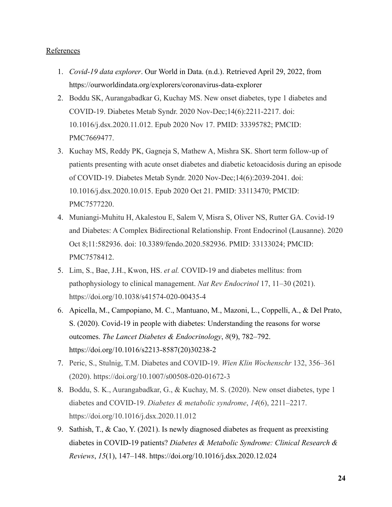# References

- 1. *Covid-19 data explorer*. Our World in Data. (n.d.). Retrieved April 29, 2022, from https://ourworldindata.org/explorers/coronavirus-data-explorer
- 2. Boddu SK, Aurangabadkar G, Kuchay MS. New onset diabetes, type 1 diabetes and COVID-19. Diabetes Metab Syndr. 2020 Nov-Dec;14(6):2211-2217. doi: 10.1016/j.dsx.2020.11.012. Epub 2020 Nov 17. PMID: 33395782; PMCID: PMC7669477.
- 3. Kuchay MS, Reddy PK, Gagneja S, Mathew A, Mishra SK. Short term follow-up of patients presenting with acute onset diabetes and diabetic ketoacidosis during an episode of COVID-19. Diabetes Metab Syndr. 2020 Nov-Dec;14(6):2039-2041. doi: 10.1016/j.dsx.2020.10.015. Epub 2020 Oct 21. PMID: 33113470; PMCID: PMC7577220.
- 4. Muniangi-Muhitu H, Akalestou E, Salem V, Misra S, Oliver NS, Rutter GA. Covid-19 and Diabetes: A Complex Bidirectional Relationship. Front Endocrinol (Lausanne). 2020 Oct 8;11:582936. doi: 10.3389/fendo.2020.582936. PMID: 33133024; PMCID: PMC7578412.
- 5. Lim, S., Bae, J.H., Kwon, HS. *et al.* COVID-19 and diabetes mellitus: from pathophysiology to clinical management. *Nat Rev Endocrinol* 17, 11–30 (2021). https://doi.org/10.1038/s41574-020-00435-4
- 6. Apicella, M., Campopiano, M. C., Mantuano, M., Mazoni, L., Coppelli, A., & Del Prato, S. (2020). Covid-19 in people with diabetes: Understanding the reasons for worse outcomes. *The Lancet Diabetes & Endocrinology*, *8*(9), 782–792. https://doi.org/10.1016/s2213-8587(20)30238-2
- 7. Peric, S., Stulnig, T.M. Diabetes and COVID-19. *Wien Klin Wochenschr* 132, 356–361 (2020). https://doi.org/10.1007/s00508-020-01672-3
- 8. Boddu, S. K., Aurangabadkar, G., & Kuchay, M. S. (2020). New onset diabetes, type 1 diabetes and COVID-19. *Diabetes & metabolic syndrome*, *14*(6), 2211–2217. https://doi.org/10.1016/j.dsx.2020.11.012
- 9. Sathish, T., & Cao, Y. (2021). Is newly diagnosed diabetes as frequent as preexisting diabetes in COVID-19 patients? *Diabetes & Metabolic Syndrome: Clinical Research & Reviews*, *15*(1), 147–148. https://doi.org/10.1016/j.dsx.2020.12.024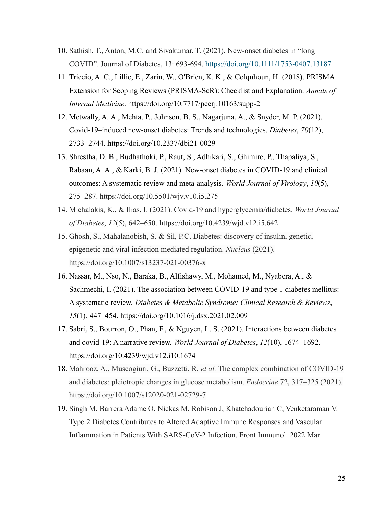- 10. Sathish, T., Anton, M.C. and Sivakumar, T. (2021), New-onset diabetes in "long COVID". Journal of Diabetes, 13: 693-694. <https://doi.org/10.1111/1753-0407.13187>
- 11. Triccio, A. C., Lillie, E., Zarin, W., O'Brien, K. K., & Colquhoun, H. (2018). PRISMA Extension for Scoping Reviews (PRISMA-ScR): Checklist and Explanation. *Annals of Internal Medicine*. https://doi.org/10.7717/peerj.10163/supp-2
- 12. Metwally, A. A., Mehta, P., Johnson, B. S., Nagarjuna, A., & Snyder, M. P. (2021). Covid-19–induced new-onset diabetes: Trends and technologies. *Diabetes*, *70*(12), 2733–2744. https://doi.org/10.2337/dbi21-0029
- 13. Shrestha, D. B., Budhathoki, P., Raut, S., Adhikari, S., Ghimire, P., Thapaliya, S., Rabaan, A. A., & Karki, B. J. (2021). New-onset diabetes in COVID-19 and clinical outcomes: A systematic review and meta-analysis. *World Journal of Virology*, *10*(5), 275–287. https://doi.org/10.5501/wjv.v10.i5.275
- 14. Michalakis, K., & Ilias, I. (2021). Covid-19 and hyperglycemia/diabetes. *World Journal of Diabetes*, *12*(5), 642–650. https://doi.org/10.4239/wjd.v12.i5.642
- 15. Ghosh, S., Mahalanobish, S. & Sil, P.C. Diabetes: discovery of insulin, genetic, epigenetic and viral infection mediated regulation. *Nucleus* (2021). https://doi.org/10.1007/s13237-021-00376-x
- 16. Nassar, M., Nso, N., Baraka, B., Alfishawy, M., Mohamed, M., Nyabera, A., & Sachmechi, I. (2021). The association between COVID-19 and type 1 diabetes mellitus: A systematic review. *Diabetes & Metabolic Syndrome: Clinical Research & Reviews*, *15*(1), 447–454. https://doi.org/10.1016/j.dsx.2021.02.009
- 17. Sabri, S., Bourron, O., Phan, F., & Nguyen, L. S. (2021). Interactions between diabetes and covid-19: A narrative review. *World Journal of Diabetes*, *12*(10), 1674–1692. https://doi.org/10.4239/wjd.v12.i10.1674
- 18. Mahrooz, A., Muscogiuri, G., Buzzetti, R. *et al.* The complex combination of COVID-19 and diabetes: pleiotropic changes in glucose metabolism. *Endocrine* 72, 317–325 (2021). https://doi.org/10.1007/s12020-021-02729-7
- 19. Singh M, Barrera Adame O, Nickas M, Robison J, Khatchadourian C, Venketaraman V. Type 2 Diabetes Contributes to Altered Adaptive Immune Responses and Vascular Inflammation in Patients With SARS-CoV-2 Infection. Front Immunol. 2022 Mar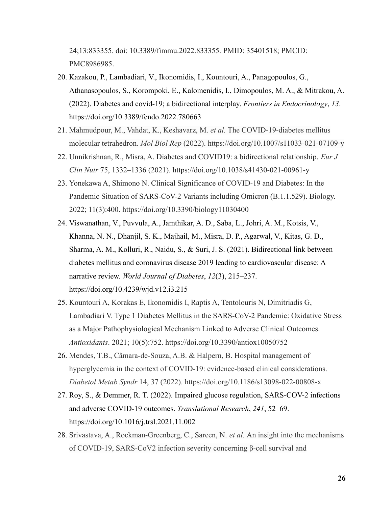24;13:833355. doi: 10.3389/fimmu.2022.833355. PMID: 35401518; PMCID: PMC8986985.

- 20. Kazakou, P., Lambadiari, V., Ikonomidis, I., Kountouri, A., Panagopoulos, G., Athanasopoulos, S., Korompoki, E., Kalomenidis, I., Dimopoulos, M. A., & Mitrakou, A. (2022). Diabetes and covid-19; a bidirectional interplay. *Frontiers in Endocrinology*, *13*. https://doi.org/10.3389/fendo.2022.780663
- 21. Mahmudpour, M., Vahdat, K., Keshavarz, M. *et al.* The COVID-19-diabetes mellitus molecular tetrahedron. *Mol Biol Rep* (2022). https://doi.org/10.1007/s11033-021-07109-y
- 22. Unnikrishnan, R., Misra, A. Diabetes and COVID19: a bidirectional relationship. *Eur J Clin Nutr* 75, 1332–1336 (2021). https://doi.org/10.1038/s41430-021-00961-y
- 23. Yonekawa A, Shimono N. Clinical Significance of COVID-19 and Diabetes: In the Pandemic Situation of SARS-CoV-2 Variants including Omicron (B.1.1.529). Biology. 2022; 11(3):400. https://doi.org/10.3390/biology11030400
- 24. Viswanathan, V., Puvvula, A., Jamthikar, A. D., Saba, L., Johri, A. M., Kotsis, V., Khanna, N. N., Dhanjil, S. K., Majhail, M., Misra, D. P., Agarwal, V., Kitas, G. D., Sharma, A. M., Kolluri, R., Naidu, S., & Suri, J. S. (2021). Bidirectional link between diabetes mellitus and coronavirus disease 2019 leading to cardiovascular disease: A narrative review. *World Journal of Diabetes*, *12*(3), 215–237. https://doi.org/10.4239/wjd.v12.i3.215
- 25. Kountouri A, Korakas E, Ikonomidis I, Raptis A, Tentolouris N, Dimitriadis G, Lambadiari V. Type 1 Diabetes Mellitus in the SARS-CoV-2 Pandemic: Oxidative Stress as a Major Pathophysiological Mechanism Linked to Adverse Clinical Outcomes. *Antioxidants*. 2021; 10(5):752. https://doi.org/10.3390/antiox10050752
- 26. Mendes, T.B., Câmara-de-Souza, A.B. & Halpern, B. Hospital management of hyperglycemia in the context of COVID-19: evidence-based clinical considerations. *Diabetol Metab Syndr* 14, 37 (2022). https://doi.org/10.1186/s13098-022-00808-x
- 27. Roy, S., & Demmer, R. T. (2022). Impaired glucose regulation, SARS-COV-2 infections and adverse COVID-19 outcomes. *Translational Research*, *241*, 52–69. https://doi.org/10.1016/j.trsl.2021.11.002
- 28. Srivastava, A., Rockman-Greenberg, C., Sareen, N. *et al.* An insight into the mechanisms of COVID-19, SARS-CoV2 infection severity concerning β-cell survival and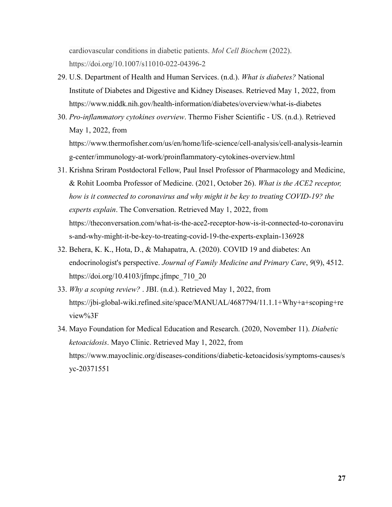cardiovascular conditions in diabetic patients. *Mol Cell Biochem* (2022). https://doi.org/10.1007/s11010-022-04396-2

- 29. U.S. Department of Health and Human Services. (n.d.). *What is diabetes?* National Institute of Diabetes and Digestive and Kidney Diseases. Retrieved May 1, 2022, from https://www.niddk.nih.gov/health-information/diabetes/overview/what-is-diabetes
- 30. *Pro-inflammatory cytokines overview*. Thermo Fisher Scientific US. (n.d.). Retrieved May 1, 2022, from https://www.thermofisher.com/us/en/home/life-science/cell-analysis/cell-analysis-learnin g-center/immunology-at-work/proinflammatory-cytokines-overview.html
- 31. Krishna Sriram Postdoctoral Fellow, Paul Insel Professor of Pharmacology and Medicine, & Rohit Loomba Professor of Medicine. (2021, October 26). *What is the ACE2 receptor, how is it connected to coronavirus and why might it be key to treating COVID-19? the experts explain*. The Conversation. Retrieved May 1, 2022, from https://theconversation.com/what-is-the-ace2-receptor-how-is-it-connected-to-coronaviru s-and-why-might-it-be-key-to-treating-covid-19-the-experts-explain-136928
- 32. Behera, K. K., Hota, D., & Mahapatra, A. (2020). COVID 19 and diabetes: An endocrinologist's perspective. *Journal of Family Medicine and Primary Care*, *9*(9), 4512. https://doi.org/10.4103/jfmpc.jfmpc\_710\_20
- 33. *Why a scoping review?* . JBI. (n.d.). Retrieved May 1, 2022, from https://jbi-global-wiki.refined.site/space/MANUAL/4687794/11.1.1+Why+a+scoping+re view%3F
- 34. Mayo Foundation for Medical Education and Research. (2020, November 11). *Diabetic ketoacidosis*. Mayo Clinic. Retrieved May 1, 2022, from https://www.mayoclinic.org/diseases-conditions/diabetic-ketoacidosis/symptoms-causes/s yc-20371551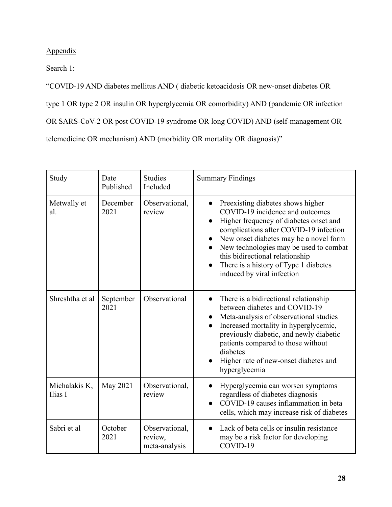# Appendix

Search 1:

"COVID-19 AND diabetes mellitus AND ( diabetic ketoacidosis OR new-onset diabetes OR type 1 OR type 2 OR insulin OR hyperglycemia OR comorbidity) AND (pandemic OR infection OR SARS-CoV-2 OR post COVID-19 syndrome OR long COVID) AND (self-management OR telemedicine OR mechanism) AND (morbidity OR mortality OR diagnosis)"

| Study                    | Date<br>Published | <b>Studies</b><br>Included                 | <b>Summary Findings</b>                                                                                                                                                                                                                                                                                                                                                                                    |  |
|--------------------------|-------------------|--------------------------------------------|------------------------------------------------------------------------------------------------------------------------------------------------------------------------------------------------------------------------------------------------------------------------------------------------------------------------------------------------------------------------------------------------------------|--|
| Metwally et<br>al.       | December<br>2021  | Observational,<br>review                   | Preexisting diabetes shows higher<br>$\bullet$<br>COVID-19 incidence and outcomes<br>Higher frequency of diabetes onset and<br>$\bullet$<br>complications after COVID-19 infection<br>New onset diabetes may be a novel form<br>$\bullet$<br>New technologies may be used to combat<br>this bidirectional relationship<br>There is a history of Type 1 diabetes<br>$\bullet$<br>induced by viral infection |  |
| Shreshtha et al          | September<br>2021 | Observational                              | There is a bidirectional relationship<br>between diabetes and COVID-19<br>Meta-analysis of observational studies<br>$\bullet$<br>Increased mortality in hyperglycemic,<br>$\bullet$<br>previously diabetic, and newly diabetic<br>patients compared to those without<br>diabetes<br>Higher rate of new-onset diabetes and<br>hyperglycemia                                                                 |  |
| Michalakis K,<br>Ilias I | May 2021          | Observational,<br>review                   | Hyperglycemia can worsen symptoms<br>regardless of diabetes diagnosis<br>COVID-19 causes inflammation in beta<br>$\bullet$<br>cells, which may increase risk of diabetes                                                                                                                                                                                                                                   |  |
| Sabri et al              | October<br>2021   | Observational,<br>review,<br>meta-analysis | Lack of beta cells or insulin resistance<br>$\bullet$<br>may be a risk factor for developing<br>COVID-19                                                                                                                                                                                                                                                                                                   |  |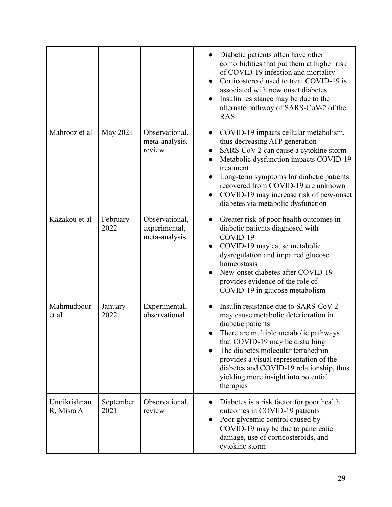|                            |                   |                                                  | Diabetic patients often have other<br>comorbidities that put them at higher risk<br>of COVID-19 infection and mortality<br>Corticosteroid used to treat COVID-19 is<br>associated with new onset diabetes<br>Insulin resistance may be due to the<br>alternate pathway of SARS-CoV-2 of the<br><b>RAS</b>                                                       |
|----------------------------|-------------------|--------------------------------------------------|-----------------------------------------------------------------------------------------------------------------------------------------------------------------------------------------------------------------------------------------------------------------------------------------------------------------------------------------------------------------|
| Mahrooz et al              | May 2021          | Observational,<br>meta-analysis,<br>review       | COVID-19 impacts cellular metabolism,<br>$\bullet$<br>thus decreasing ATP generation<br>SARS-CoV-2 can cause a cytokine storm<br>Metabolic dysfunction impacts COVID-19<br>treatment<br>Long-term symptoms for diabetic patients<br>recovered from COVID-19 are unknown<br>COVID-19 may increase risk of new-onset<br>diabetes via metabolic dysfunction        |
| Kazakou et al              | February<br>2022  | Observational,<br>experimental,<br>meta-analysis | Greater risk of poor health outcomes in<br>diabetic patients diagnosed with<br>COVID-19<br>COVID-19 may cause metabolic<br>dysregulation and impaired glucose<br>homeostasis<br>New-onset diabetes after COVID-19<br>provides evidence of the role of<br>COVID-19 in glucose metabolism                                                                         |
| Mahmudpour<br>et al        | January<br>2022   | Experimental,<br>observational                   | Insulin resistance due to SARS-CoV-2<br>may cause metabolic deterioration in<br>diabetic patients<br>There are multiple metabolic pathways<br>that COVID-19 may be disturbing<br>The diabetes molecular tetrahedron<br>provides a visual representation of the<br>diabetes and COVID-19 relationship, thus<br>yielding more insight into potential<br>therapies |
| Unnikrishnan<br>R, Misra A | September<br>2021 | Observational,<br>review                         | Diabetes is a risk factor for poor health<br>outcomes in COVID-19 patients<br>Poor glycemic control caused by<br>$\bullet$<br>COVID-19 may be due to pancreatic<br>damage, use of corticosteroids, and<br>cytokine storm                                                                                                                                        |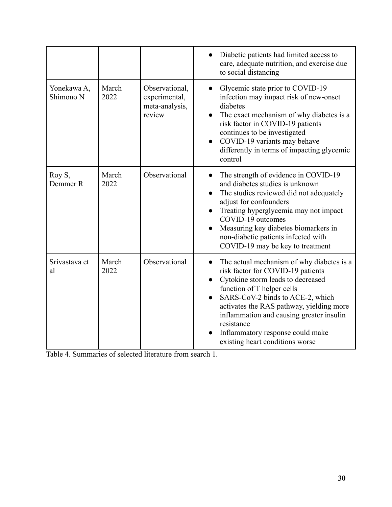|                          |               |                                                             | Diabetic patients had limited access to<br>care, adequate nutrition, and exercise due<br>to social distancing                                                                                                                                                                                                                                                                   |
|--------------------------|---------------|-------------------------------------------------------------|---------------------------------------------------------------------------------------------------------------------------------------------------------------------------------------------------------------------------------------------------------------------------------------------------------------------------------------------------------------------------------|
| Yonekawa A,<br>Shimono N | March<br>2022 | Observational,<br>experimental,<br>meta-analysis,<br>review | Glycemic state prior to COVID-19<br>infection may impact risk of new-onset<br>diabetes<br>The exact mechanism of why diabetes is a<br>$\bullet$<br>risk factor in COVID-19 patients<br>continues to be investigated<br>COVID-19 variants may behave<br>differently in terms of impacting glycemic<br>control                                                                    |
| Roy S,<br>Demmer R       | March<br>2022 | Observational                                               | The strength of evidence in COVID-19<br>and diabetes studies is unknown<br>The studies reviewed did not adequately<br>adjust for confounders<br>Treating hyperglycemia may not impact<br>COVID-19 outcomes<br>Measuring key diabetes biomarkers in<br>$\bullet$<br>non-diabetic patients infected with<br>COVID-19 may be key to treatment                                      |
| Srivastava et<br>al      | March<br>2022 | Observational                                               | The actual mechanism of why diabetes is a<br>$\bullet$<br>risk factor for COVID-19 patients<br>Cytokine storm leads to decreased<br>function of T helper cells<br>SARS-CoV-2 binds to ACE-2, which<br>activates the RAS pathway, yielding more<br>inflammation and causing greater insulin<br>resistance<br>Inflammatory response could make<br>existing heart conditions worse |

Table 4. Summaries of selected literature from search 1.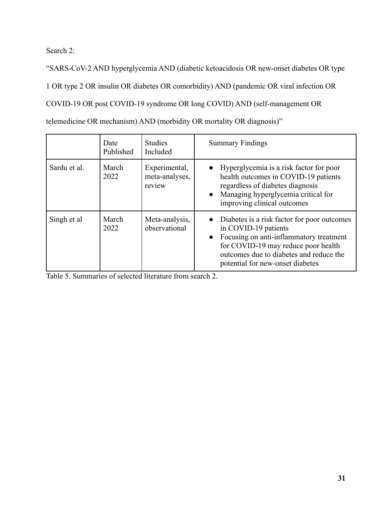Search 2:

"SARS-CoV-2 AND hyperglycemia AND (diabetic ketoacidosis OR new-onset diabetes OR type 1 OR type 2 OR insulin OR diabetes OR comorbidity) AND (pandemic OR viral infection OR COVID-19 OR post COVID-19 syndrome OR long COVID) AND (self-management OR telemedicine OR mechanism) AND (morbidity OR mortality OR diagnosis)"

|              | Date<br>Published | <b>Studies</b><br>Included                | <b>Summary Findings</b>                                                                                                                                                                                                                             |
|--------------|-------------------|-------------------------------------------|-----------------------------------------------------------------------------------------------------------------------------------------------------------------------------------------------------------------------------------------------------|
| Sardu et al. | March<br>2022     | Experimental,<br>meta-analyses,<br>review | • Hyperglycemia is a risk factor for poor<br>health outcomes in COVID-19 patients<br>regardless of diabetes diagnosis<br>• Managing hyperglycemia critical for<br>improving clinical outcomes                                                       |
| Singh et al  | March<br>2022     | Meta-analysis,<br>observational           | • Diabetes is a risk factor for poor outcomes<br>in COVID-19 patients<br>Focusing on anti-inflammatory treatment<br>$\bullet$<br>for COVID-19 may reduce poor health<br>outcomes due to diabetes and reduce the<br>potential for new-onset diabetes |

Table 5. Summaries of selected literature from search 2.